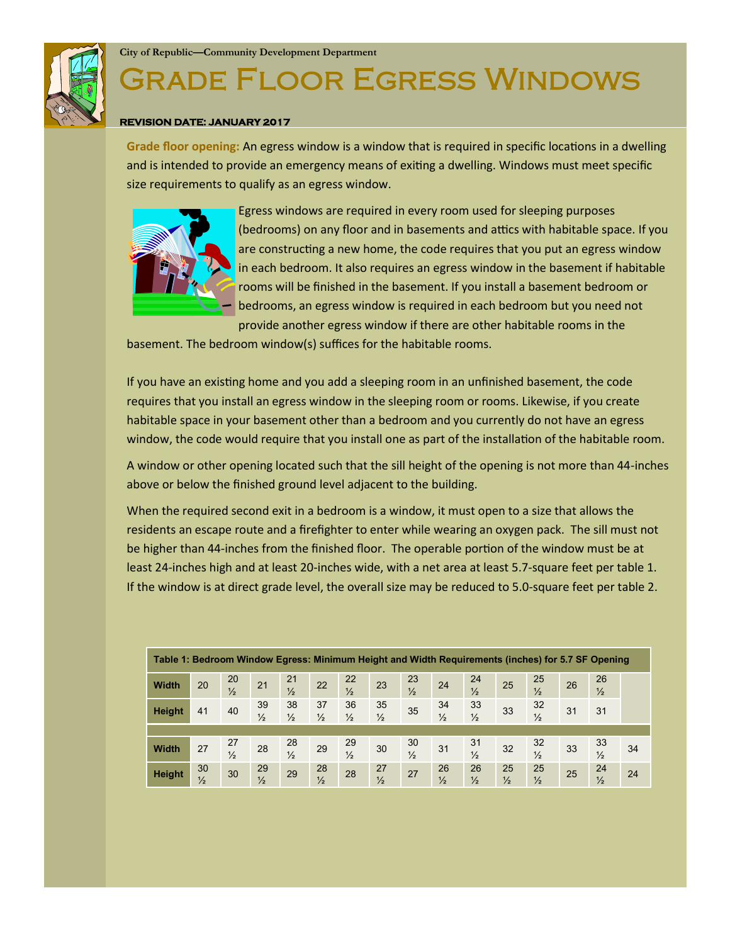

## Grade Floor Egress Windows

## **REVISION DATE: JANUARY 2017**

**Grade floor opening:** An egress window is a window that is required in specific locations in a dwelling and is intended to provide an emergency means of exiting a dwelling. Windows must meet specific size requirements to qualify as an egress window.



Egress windows are required in every room used for sleeping purposes (bedrooms) on any floor and in basements and attics with habitable space. If you are constructing a new home, the code requires that you put an egress window in each bedroom. It also requires an egress window in the basement if habitable rooms will be finished in the basement. If you install a basement bedroom or bedrooms, an egress window is required in each bedroom but you need not provide another egress window if there are other habitable rooms in the

basement. The bedroom window(s) suffices for the habitable rooms.

If you have an existing home and you add a sleeping room in an unfinished basement, the code requires that you install an egress window in the sleeping room or rooms. Likewise, if you create habitable space in your basement other than a bedroom and you currently do not have an egress window, the code would require that you install one as part of the installation of the habitable room.

A window or other opening located such that the sill height of the opening is not more than 44-inches above or below the finished ground level adjacent to the building.

When the required second exit in a bedroom is a window, it must open to a size that allows the residents an escape route and a firefighter to enter while wearing an oxygen pack. The sill must not be higher than 44-inches from the finished floor. The operable portion of the window must be at least 24-inches high and at least 20-inches wide, with a net area at least 5.7-square feet per table 1. If the window is at direct grade level, the overall size may be reduced to 5.0-square feet per table 2.

| Table 1: Bedroom Window Egress: Minimum Height and Width Requirements (inches) for 5.7 SF Opening |                     |                     |                     |                     |                     |                     |                     |                     |                     |                     |                     |                     |    |                     |    |
|---------------------------------------------------------------------------------------------------|---------------------|---------------------|---------------------|---------------------|---------------------|---------------------|---------------------|---------------------|---------------------|---------------------|---------------------|---------------------|----|---------------------|----|
| <b>Width</b>                                                                                      | 20                  | 20<br>$\frac{1}{2}$ | 21                  | 21<br>$\frac{1}{2}$ | 22                  | 22<br>$\frac{1}{2}$ | 23                  | 23<br>$\frac{1}{2}$ | 24                  | 24<br>$\frac{1}{2}$ | 25                  | 25<br>$\frac{1}{2}$ | 26 | 26<br>$\frac{1}{2}$ |    |
| Height                                                                                            | 41                  | 40                  | 39<br>$\frac{1}{2}$ | 38<br>$\frac{1}{2}$ | 37<br>$\frac{1}{2}$ | 36<br>$\frac{1}{2}$ | 35<br>$\frac{1}{2}$ | 35                  | 34<br>$\frac{1}{2}$ | 33<br>$\frac{1}{2}$ | 33                  | 32<br>$\frac{1}{2}$ | 31 | 31                  |    |
|                                                                                                   |                     |                     |                     |                     |                     |                     |                     |                     |                     |                     |                     |                     |    |                     |    |
| <b>Width</b>                                                                                      | 27                  | 27<br>$\frac{1}{2}$ | 28                  | 28<br>$\frac{1}{2}$ | 29                  | 29<br>$\frac{1}{2}$ | 30                  | 30<br>$\frac{1}{2}$ | 31                  | 31<br>$\frac{1}{2}$ | 32                  | 32<br>$\frac{1}{2}$ | 33 | 33<br>$\frac{1}{2}$ | 34 |
| Height                                                                                            | 30<br>$\frac{1}{2}$ | 30                  | 29<br>$\frac{1}{2}$ | 29                  | 28<br>$\frac{1}{2}$ | 28                  | 27<br>$\frac{1}{2}$ | 27                  | 26<br>$\frac{1}{2}$ | 26<br>$\frac{1}{2}$ | 25<br>$\frac{1}{2}$ | 25<br>$\frac{1}{2}$ | 25 | 24<br>$\frac{1}{2}$ | 24 |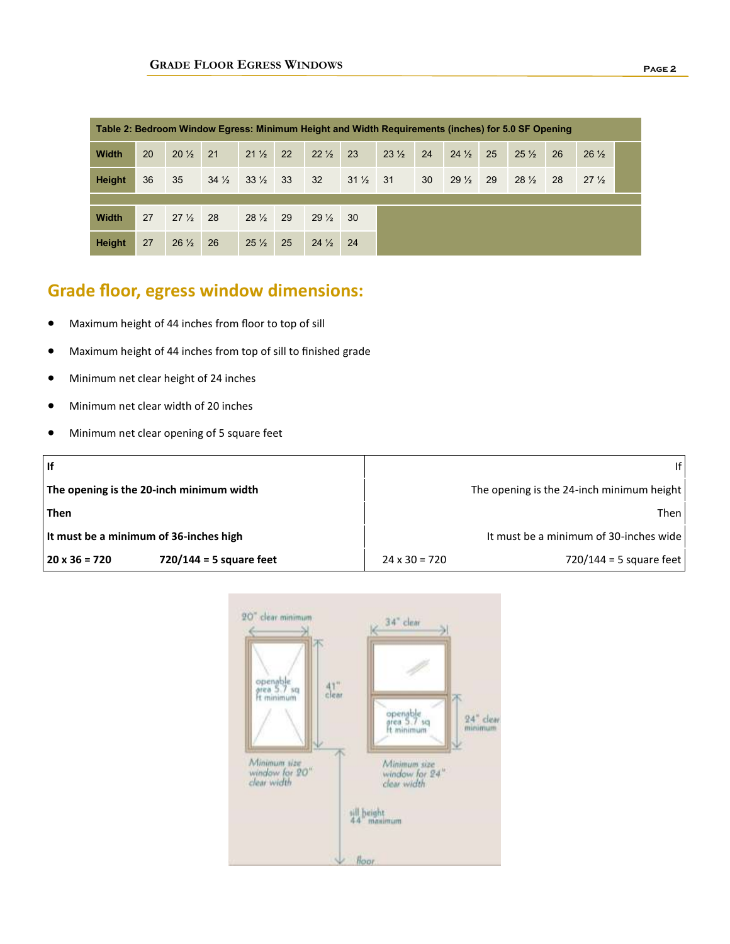| Table 2: Bedroom Window Egress: Minimum Height and Width Requirements (inches) for 5.0 SF Opening |    |                 |                 |                    |    |                 |                 |                 |    |                 |    |                 |    |                 |  |
|---------------------------------------------------------------------------------------------------|----|-----------------|-----------------|--------------------|----|-----------------|-----------------|-----------------|----|-----------------|----|-----------------|----|-----------------|--|
| <b>Width</b>                                                                                      | 20 | $20\frac{1}{2}$ | 21              | $21\frac{1}{2}$    | 22 | $22\frac{1}{2}$ | 23              | $23\frac{1}{2}$ | 24 | $24\frac{1}{2}$ | 25 | $25\frac{1}{2}$ | 26 | $26\frac{1}{2}$ |  |
| <b>Height</b>                                                                                     | 36 | 35              | $34\frac{1}{2}$ | $33\frac{1}{2}$ 33 |    | 32              | $31\frac{1}{2}$ | 31              | 30 | $29\frac{1}{2}$ | 29 | $28\frac{1}{2}$ | 28 | $27\frac{1}{2}$ |  |
|                                                                                                   |    |                 |                 |                    |    |                 |                 |                 |    |                 |    |                 |    |                 |  |
| <b>Width</b>                                                                                      | 27 | $27\frac{1}{2}$ | 28              | $28\frac{1}{2}$    | 29 | $29\frac{1}{2}$ | 30              |                 |    |                 |    |                 |    |                 |  |
| Height                                                                                            | 27 | $26\frac{1}{2}$ | 26              | $25\frac{1}{2}$    | 25 | $24\frac{1}{2}$ | 24              |                 |    |                 |    |                 |    |                 |  |

## **Grade floor, egress window dimensions:**

- Maximum height of 44 inches from floor to top of sill
- Maximum height of 44 inches from top of sill to finished grade
- Minimum net clear height of 24 inches
- Minimum net clear width of 20 inches
- Minimum net clear opening of 5 square feet

| <b>If</b>                                         | ۱f١                                               |  |  |  |  |  |
|---------------------------------------------------|---------------------------------------------------|--|--|--|--|--|
| The opening is the 20-inch minimum width          | The opening is the 24-inch minimum height         |  |  |  |  |  |
| Then                                              | Then I                                            |  |  |  |  |  |
| It must be a minimum of 36-inches high            | It must be a minimum of 30-inches wide            |  |  |  |  |  |
| $720/144 = 5$ square feet<br>$20 \times 36 = 720$ | 720/144 = 5 square feet  <br>$24 \times 30 = 720$ |  |  |  |  |  |